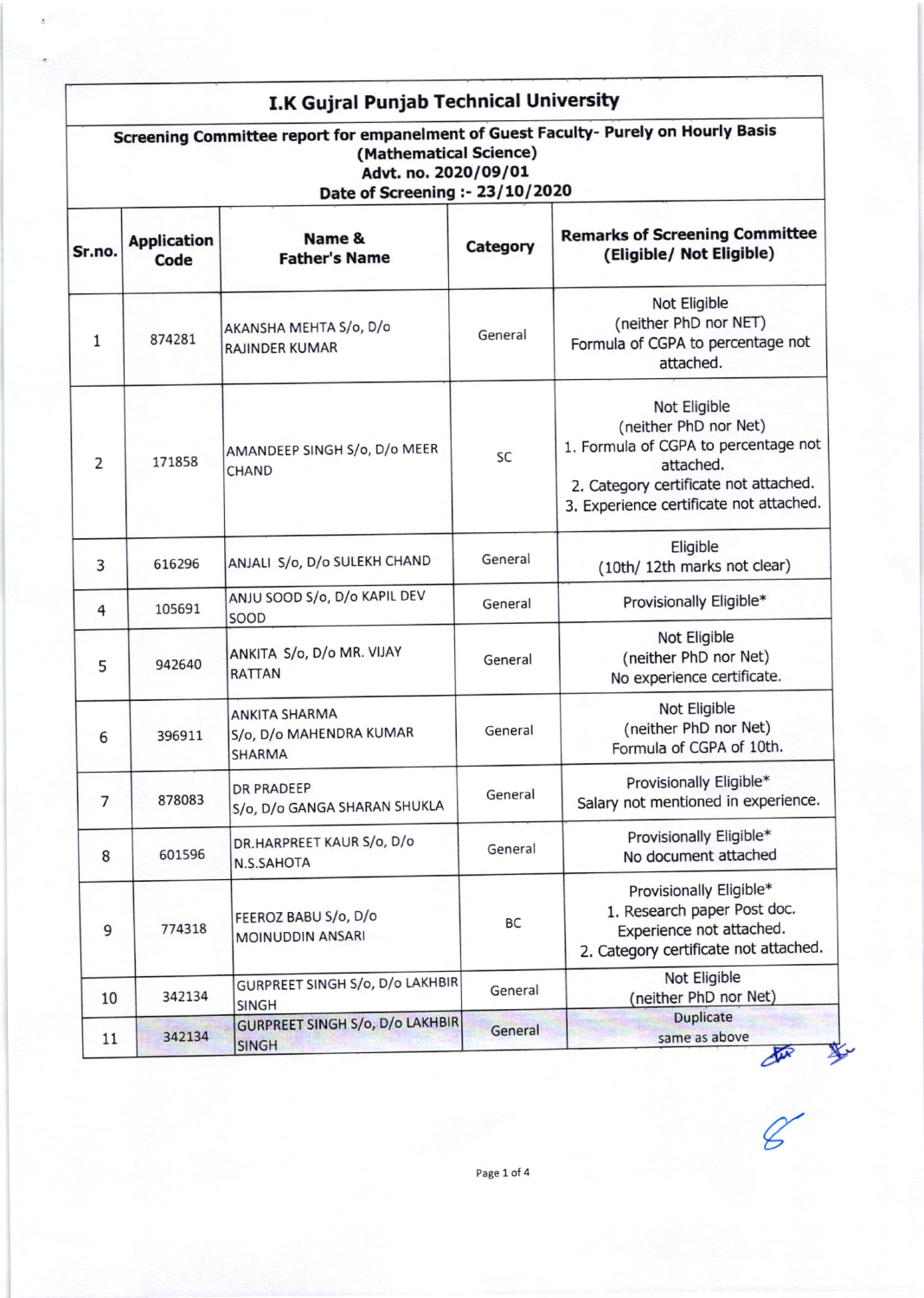| I.K Gujral Punjab Technical University<br>Screening Committee report for empanelment of Guest Faculty- Purely on Hourly Basis<br>(Mathematical Science)<br>Advt. no. 2020/09/01<br>Date of Screening :- 23/10/2020 |                            |                                                           |           |                                                                                                                                                                                |  |
|--------------------------------------------------------------------------------------------------------------------------------------------------------------------------------------------------------------------|----------------------------|-----------------------------------------------------------|-----------|--------------------------------------------------------------------------------------------------------------------------------------------------------------------------------|--|
| Sr.no.                                                                                                                                                                                                             | <b>Application</b><br>Code | Name &<br><b>Father's Name</b>                            | Category  | <b>Remarks of Screening Committee</b><br>(Eligible/ Not Eligible)                                                                                                              |  |
| 1                                                                                                                                                                                                                  | 874281                     | AKANSHA MEHTA S/o, D/o<br><b>RAJINDER KUMAR</b>           | General   | Not Eligible<br>(neither PhD nor NET)<br>Formula of CGPA to percentage not<br>attached.                                                                                        |  |
| 2                                                                                                                                                                                                                  | 171858                     | AMANDEEP SINGH S/o, D/o MEER<br><b>CHAND</b>              | <b>SC</b> | Not Eligible<br>(neither PhD nor Net)<br>1. Formula of CGPA to percentage not<br>attached.<br>2. Category certificate not attached.<br>3. Experience certificate not attached. |  |
| 3                                                                                                                                                                                                                  | 616296                     | ANJALI S/o, D/o SULEKH CHAND                              | General   | Eligible<br>(10th/ 12th marks not clear)                                                                                                                                       |  |
| $\overline{4}$                                                                                                                                                                                                     | 105691                     | ANJU SOOD S/o, D/o KAPIL DEV<br>SOOD                      | General   | Provisionally Eligible*                                                                                                                                                        |  |
| 5                                                                                                                                                                                                                  | 942640                     | ANKITA S/o, D/o MR. VIJAY<br><b>RATTAN</b>                | General   | Not Eligible<br>(neither PhD nor Net)<br>No experience certificate.                                                                                                            |  |
| 6                                                                                                                                                                                                                  | 396911                     | ANKITA SHARMA<br>S/o, D/o MAHENDRA KUMAR<br><b>SHARMA</b> | General   | Not Eligible<br>(neither PhD nor Net)<br>Formula of CGPA of 10th.                                                                                                              |  |
| $\overline{7}$                                                                                                                                                                                                     | 878083                     | <b>DR PRADEEP</b><br>S/o, D/o GANGA SHARAN SHUKLA         | General   | Provisionally Eligible*<br>Salary not mentioned in experience.                                                                                                                 |  |
| 8                                                                                                                                                                                                                  | 601596                     | DR.HARPREET KAUR S/o, D/o<br>N.S.SAHOTA                   | General   | Provisionally Eligible*<br>No document attached                                                                                                                                |  |
| 9                                                                                                                                                                                                                  | 774318                     | FEEROZ BABU S/o, D/o<br>MOINUDDIN ANSARI                  | <b>BC</b> | Provisionally Eligible*<br>1. Research paper Post doc.<br>Experience not attached.<br>2. Category certificate not attached.                                                    |  |
| 10                                                                                                                                                                                                                 | 342134                     | GURPREET SINGH S/o, D/o LAKHBIR<br><b>SINGH</b>           | General   | Not Eligible<br>(neither PhD nor Net)                                                                                                                                          |  |
| 11                                                                                                                                                                                                                 | 342134                     | <b>GURPREET SINGH S/o, D/o LAKHBIR</b><br><b>SINGH</b>    | General   | <b>Duplicate</b><br>same as above<br>Sur                                                                                                                                       |  |

 $\frac{1}{2}$